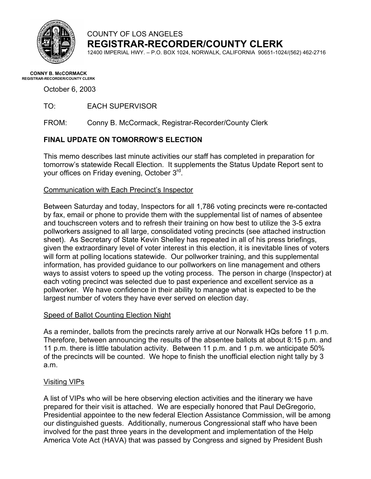

### COUNTY OF LOS ANGELES **REGISTRAR-RECORDER/COUNTY CLERK**

12400 IMPERIAL HWY. – P.O. BOX 1024, NORWALK, CALIFORNIA 90651-1024/(562) 462-2716

# **CONNY B. McCORMACK REGISTRAR-RECORDER/COUNTY CLERK**

October 6, 2003

TO: EACH SUPERVISOR

FROM: Conny B. McCormack, Registrar-Recorder/County Clerk

### **FINAL UPDATE ON TOMORROW'S ELECTION**

This memo describes last minute activities our staff has completed in preparation for tomorrow's statewide Recall Election. It supplements the Status Update Report sent to your offices on Friday evening, October 3rd.

### Communication with Each Precinct's Inspector

Between Saturday and today, Inspectors for all 1,786 voting precincts were re-contacted by fax, email or phone to provide them with the supplemental list of names of absentee and touchscreen voters and to refresh their training on how best to utilize the 3-5 extra pollworkers assigned to all large, consolidated voting precincts (see attached instruction sheet). As Secretary of State Kevin Shelley has repeated in all of his press briefings, given the extraordinary level of voter interest in this election, it is inevitable lines of voters will form at polling locations statewide. Our pollworker training, and this supplemental information, has provided guidance to our pollworkers on line management and others ways to assist voters to speed up the voting process. The person in charge (Inspector) at each voting precinct was selected due to past experience and excellent service as a pollworker. We have confidence in their ability to manage what is expected to be the largest number of voters they have ever served on election day.

### Speed of Ballot Counting Election Night

As a reminder, ballots from the precincts rarely arrive at our Norwalk HQs before 11 p.m. Therefore, between announcing the results of the absentee ballots at about 8:15 p.m. and 11 p.m. there is little tabulation activity. Between 11 p.m. and 1 p.m. we anticipate 50% of the precincts will be counted. We hope to finish the unofficial election night tally by 3 a.m.

### Visiting VIPs

A list of VIPs who will be here observing election activities and the itinerary we have prepared for their visit is attached. We are especially honored that Paul DeGregorio, Presidential appointee to the new federal Election Assistance Commission, will be among our distinguished guests. Additionally, numerous Congressional staff who have been involved for the past three years in the development and implementation of the Help America Vote Act (HAVA) that was passed by Congress and signed by President Bush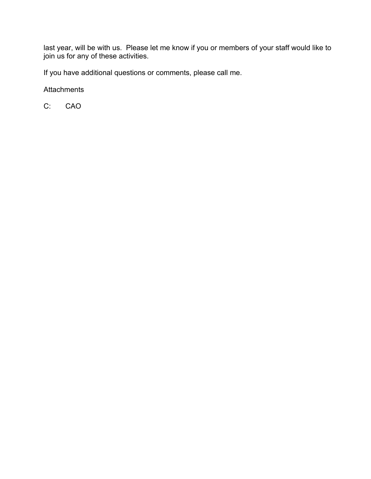last year, will be with us. Please let me know if you or members of your staff would like to join us for any of these activities.

If you have additional questions or comments, please call me.

**Attachments** 

C: CAO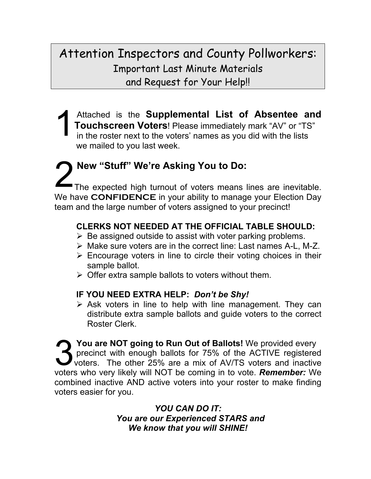Attention Inspectors and County Pollworkers: Important Last Minute Materials and Request for Your Help!!

Attached is the **Supplemental List of Absentee and Touchscreen Voters**! Please immediately mark "AV" or "TS" in the roster next to the voters' names as you did with the lists **Touchscreen Voters**! Please immediately mark "AV" or "TS" in the roster next to the voters' names as you did with the lists we mailed to you last week.

2 **New "Stuff" We're Asking You to Do:** Th e expected high turnout of voters means lines are inevitable. We have **CONFIDENCE** in your ability to manage your Election Day team and the large number of voters assigned to your precinct!

## **CLERKS NOT NEEDED AT THE OFFICIAL TABLE SHOULD:**

- $\triangleright$  Be assigned outside to assist with voter parking problems.
- ¾ Make sure voters are in the correct line: Last names A-L, M-Z.
- $\triangleright$  Encourage voters in line to circle their voting choices in their sample ballot.
- $\triangleright$  Offer extra sample ballots to voters without them.

### **IF YOU NEED EXTRA HELP:** *Don't be Shy!*

 $\triangleright$  Ask voters in line to help with line management. They can distribute extra sample ballots and guide voters to the correct Roster Clerk.

**3 You are NOT going to Run Out of Ballots!** We provided every precinct with enough ballots for 75% of the ACTIVE registered voters. The other 25% are a mix of AV/TS voters and inactive pr ecinct with enough ballots for 75% of the ACTIVE registered vot ers. The other 25% are a mix of AV/TS voters and inactive voters w ho very likely will NOT be coming in to vote. *Remember:* We combined inactive AND active voters into your roster to make finding voters easier for you.

> *YOU CAN DO IT: You are our Experienced STARS and We know that you will SHINE!*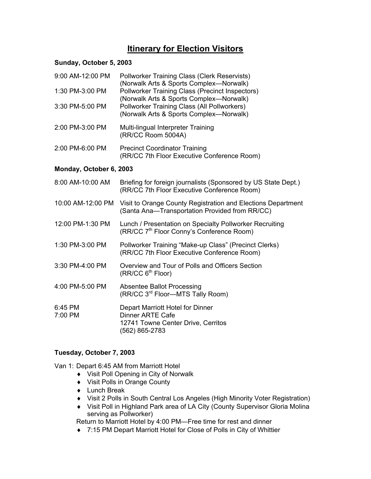### **Itinerary for Election Visitors**

#### **Sunday, October 5, 2003**

| 9:00 AM-12:00 PM        | <b>Pollworker Training Class (Clerk Reservists)</b><br>(Norwalk Arts & Sports Complex-Norwalk)                      |
|-------------------------|---------------------------------------------------------------------------------------------------------------------|
| 1:30 PM-3:00 PM         | Pollworker Training Class (Precinct Inspectors)<br>(Norwalk Arts & Sports Complex-Norwalk)                          |
| 3:30 PM-5:00 PM         | Pollworker Training Class (All Pollworkers)<br>(Norwalk Arts & Sports Complex-Norwalk)                              |
| 2:00 PM-3:00 PM         | Multi-lingual Interpreter Training<br>(RR/CC Room 5004A)                                                            |
| 2:00 PM-6:00 PM         | <b>Precinct Coordinator Training</b><br>(RR/CC 7th Floor Executive Conference Room)                                 |
| Monday, October 6, 2003 |                                                                                                                     |
| 8:00 AM-10:00 AM        | Briefing for foreign journalists (Sponsored by US State Dept.)<br>(RR/CC 7th Floor Executive Conference Room)       |
| 10:00 AM-12:00 PM       | Visit to Orange County Registration and Elections Department<br>(Santa Ana-Transportation Provided from RR/CC)      |
| 12:00 PM-1:30 PM        | Lunch / Presentation on Specialty Pollworker Recruiting<br>(RR/CC 7 <sup>th</sup> Floor Conny's Conference Room)    |
| 1:30 PM-3:00 PM         | Pollworker Training "Make-up Class" (Precinct Clerks)<br>(RR/CC 7th Floor Executive Conference Room)                |
| 3:30 PM-4:00 PM         | Overview and Tour of Polls and Officers Section<br>(RR/CC 6 <sup>th</sup> Floor)                                    |
| 4:00 PM-5:00 PM         | <b>Absentee Ballot Processing</b><br>(RR/CC 3 <sup>rd</sup> Floor-MTS Tally Room)                                   |
| 6:45 PM<br>7:00 PM      | Depart Marriott Hotel for Dinner<br><b>Dinner ARTE Cafe</b><br>12741 Towne Center Drive, Cerritos<br>(562) 865-2783 |

### **Tuesday, October 7, 2003**

Van 1: Depart 6:45 AM from Marriott Hotel

- ♦ Visit Poll Opening in City of Norwalk
- ♦ Visit Polls in Orange County
- ♦ Lunch Break
- ♦ Visit 2 Polls in South Central Los Angeles (High Minority Voter Registration)
- ♦ Visit Poll in Highland Park area of LA City (County Supervisor Gloria Molina serving as Pollworker)

Return to Marriott Hotel by 4:00 PM—Free time for rest and dinner

♦ 7:15 PM Depart Marriott Hotel for Close of Polls in City of Whittier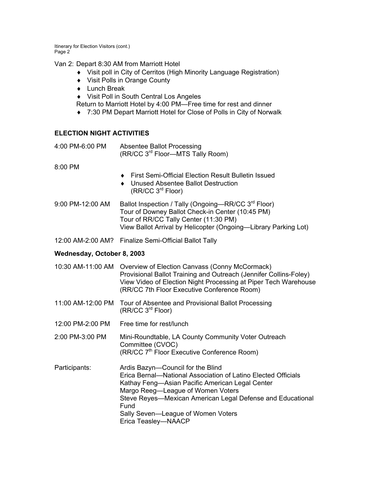Itinerary for Election Visitors (cont.) Page 2

Van 2: Depart 8:30 AM from Marriott Hotel

- ♦ Visit poll in City of Cerritos (High Minority Language Registration)
- ♦ Visit Polls in Orange County
- ♦ Lunch Break
- ♦ Visit Poll in South Central Los Angeles

Return to Marriott Hotel by 4:00 PM—Free time for rest and dinner

♦ 7:30 PM Depart Marriott Hotel for Close of Polls in City of Norwalk

#### **ELECTION NIGHT ACTIVITIES**

4:00 PM-6:00 PM Absentee Ballot Processing (RR/CC 3rd Floor—MTS Tally Room)

8:00 PM

- ♦ First Semi-Official Election Result Bulletin Issued
- ♦ Unused Absentee Ballot Destruction (RR/CC 3rd Floor)
- 9:00 PM-12:00 AM Ballot Inspection / Tally (Ongoing—RR/CC 3<sup>rd</sup> Floor) Tour of Downey Ballot Check-in Center (10:45 PM) Tour of RR/CC Tally Center (11:30 PM) View Ballot Arrival by Helicopter (Ongoing—Library Parking Lot)

12:00 AM-2:00 AM? Finalize Semi-Official Ballot Tally

#### **Wednesday, October 8, 2003**

- 10:30 AM-11:00 AM Overview of Election Canvass (Conny McCormack) Provisional Ballot Training and Outreach (Jennifer Collins-Foley) View Video of Election Night Processing at Piper Tech Warehouse (RR/CC 7th Floor Executive Conference Room)
- 11:00 AM-12:00 PM Tour of Absentee and Provisional Ballot Processing (RR/CC 3rd Floor)
- 12:00 PM-2:00 PM Free time for rest/lunch
- 2:00 PM-3:00 PM Mini-Roundtable, LA County Community Voter Outreach Committee (CVOC) (RR/CC 7<sup>th</sup> Floor Executive Conference Room)
- Participants: Ardis Bazyn—Council for the Blind Erica Bernal—National Association of Latino Elected Officials Kathay Feng—Asian Pacific American Legal Center Margo Reeg—League of Women Voters Steve Reyes—Mexican American Legal Defense and Educational Fund Sally Seven—League of Women Voters Erica Teasley—NAACP